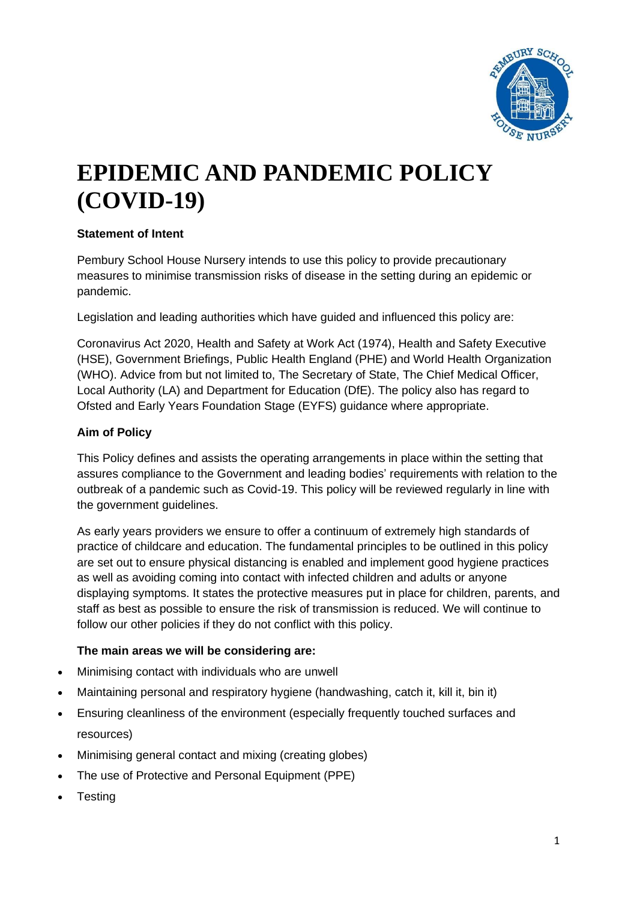

# **EPIDEMIC AND PANDEMIC POLICY (COVID-19)**

#### **Statement of Intent**

Pembury School House Nursery intends to use this policy to provide precautionary measures to minimise transmission risks of disease in the setting during an epidemic or pandemic.

Legislation and leading authorities which have guided and influenced this policy are:

Coronavirus Act 2020, Health and Safety at Work Act (1974), Health and Safety Executive (HSE), Government Briefings, Public Health England (PHE) and World Health Organization (WHO). Advice from but not limited to, The Secretary of State, The Chief Medical Officer, Local Authority (LA) and Department for Education (DfE). The policy also has regard to Ofsted and Early Years Foundation Stage (EYFS) guidance where appropriate.

## **Aim of Policy**

This Policy defines and assists the operating arrangements in place within the setting that assures compliance to the Government and leading bodies' requirements with relation to the outbreak of a pandemic such as Covid-19. This policy will be reviewed regularly in line with the government guidelines.

As early years providers we ensure to offer a continuum of extremely high standards of practice of childcare and education. The fundamental principles to be outlined in this policy are set out to ensure physical distancing is enabled and implement good hygiene practices as well as avoiding coming into contact with infected children and adults or anyone displaying symptoms. It states the protective measures put in place for children, parents, and staff as best as possible to ensure the risk of transmission is reduced. We will continue to follow our other policies if they do not conflict with this policy.

## **The main areas we will be considering are:**

- Minimising contact with individuals who are unwell
- Maintaining personal and respiratory hygiene (handwashing, catch it, kill it, bin it)
- Ensuring cleanliness of the environment (especially frequently touched surfaces and resources)
- Minimising general contact and mixing (creating globes)
- The use of Protective and Personal Equipment (PPE)
- **Testing**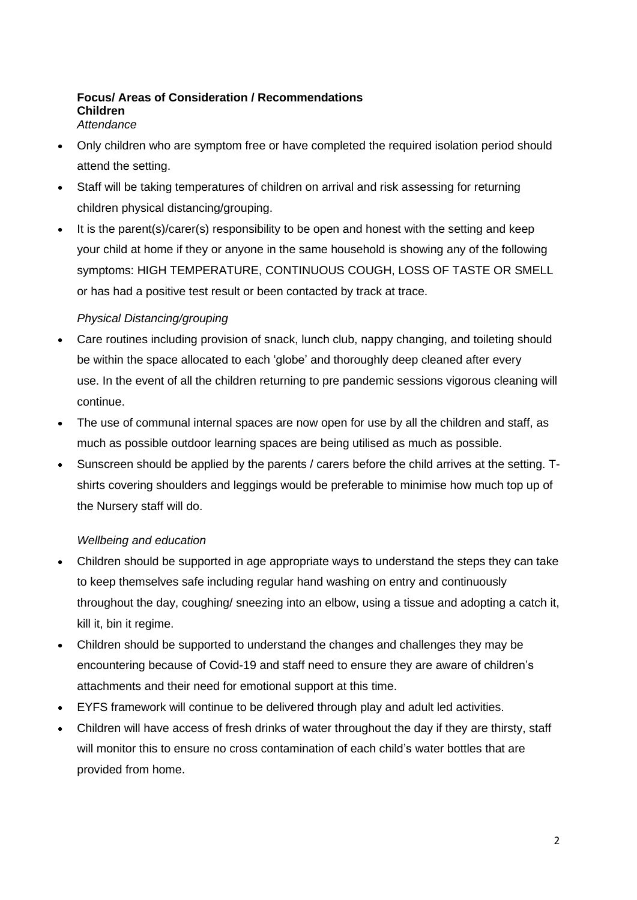#### **Focus/ Areas of Consideration / Recommendations Children** *Attendance*

- Only children who are symptom free or have completed the required isolation period should attend the setting.
- Staff will be taking temperatures of children on arrival and risk assessing for returning children physical distancing/grouping.
- It is the parent(s)/carer(s) responsibility to be open and honest with the setting and keep your child at home if they or anyone in the same household is showing any of the following symptoms: HIGH TEMPERATURE, CONTINUOUS COUGH, LOSS OF TASTE OR SMELL or has had a positive test result or been contacted by track at trace.

#### *Physical Distancing/grouping*

- Care routines including provision of snack, lunch club, nappy changing, and toileting should be within the space allocated to each 'globe' and thoroughly deep cleaned after every use. In the event of all the children returning to pre pandemic sessions vigorous cleaning will continue.
- The use of communal internal spaces are now open for use by all the children and staff, as much as possible outdoor learning spaces are being utilised as much as possible.
- Sunscreen should be applied by the parents / carers before the child arrives at the setting. Tshirts covering shoulders and leggings would be preferable to minimise how much top up of the Nursery staff will do.

## *Wellbeing and education*

- Children should be supported in age appropriate ways to understand the steps they can take to keep themselves safe including regular hand washing on entry and continuously throughout the day, coughing/ sneezing into an elbow, using a tissue and adopting a catch it, kill it, bin it regime.
- Children should be supported to understand the changes and challenges they may be encountering because of Covid-19 and staff need to ensure they are aware of children's attachments and their need for emotional support at this time.
- EYFS framework will continue to be delivered through play and adult led activities.
- Children will have access of fresh drinks of water throughout the day if they are thirsty, staff will monitor this to ensure no cross contamination of each child's water bottles that are provided from home.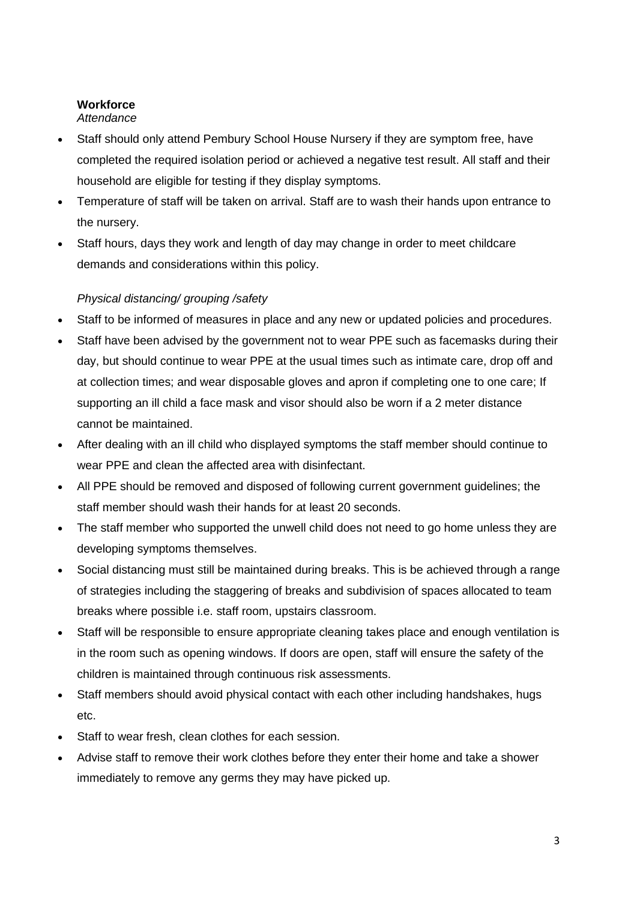## **Workforce** *Attendance*

- Staff should only attend Pembury School House Nursery if they are symptom free, have completed the required isolation period or achieved a negative test result. All staff and their household are eligible for testing if they display symptoms.
- Temperature of staff will be taken on arrival. Staff are to wash their hands upon entrance to the nursery.
- Staff hours, days they work and length of day may change in order to meet childcare demands and considerations within this policy.

## *Physical distancing/ grouping /safety*

- Staff to be informed of measures in place and any new or updated policies and procedures.
- Staff have been advised by the government not to wear PPE such as facemasks during their day, but should continue to wear PPE at the usual times such as intimate care, drop off and at collection times; and wear disposable gloves and apron if completing one to one care; If supporting an ill child a face mask and visor should also be worn if a 2 meter distance cannot be maintained.
- After dealing with an ill child who displayed symptoms the staff member should continue to wear PPE and clean the affected area with disinfectant.
- All PPE should be removed and disposed of following current government guidelines; the staff member should wash their hands for at least 20 seconds.
- The staff member who supported the unwell child does not need to go home unless they are developing symptoms themselves.
- Social distancing must still be maintained during breaks. This is be achieved through a range of strategies including the staggering of breaks and subdivision of spaces allocated to team breaks where possible i.e. staff room, upstairs classroom.
- Staff will be responsible to ensure appropriate cleaning takes place and enough ventilation is in the room such as opening windows. If doors are open, staff will ensure the safety of the children is maintained through continuous risk assessments.
- Staff members should avoid physical contact with each other including handshakes, hugs etc.
- Staff to wear fresh, clean clothes for each session.
- Advise staff to remove their work clothes before they enter their home and take a shower immediately to remove any germs they may have picked up.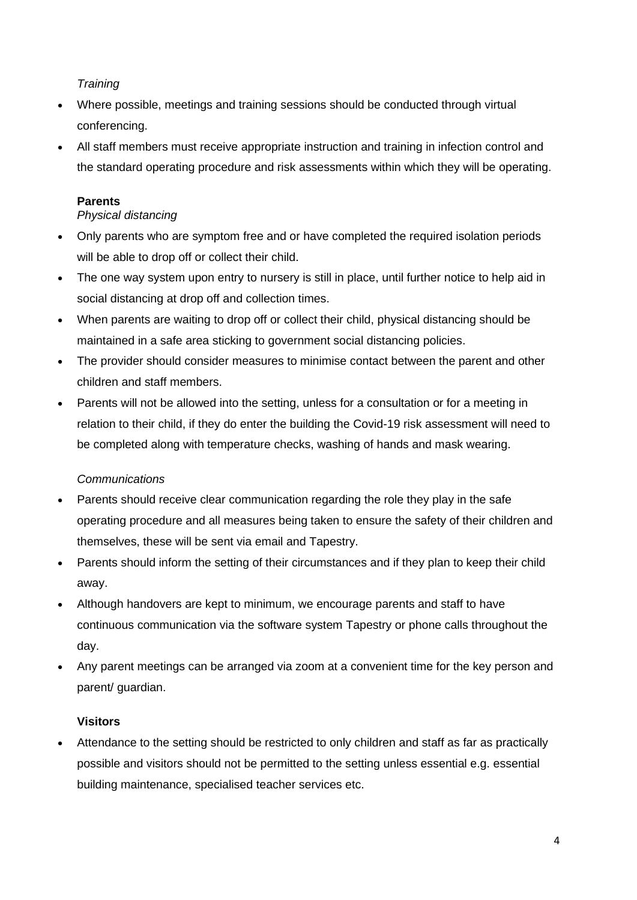### *Training*

- Where possible, meetings and training sessions should be conducted through virtual conferencing.
- All staff members must receive appropriate instruction and training in infection control and the standard operating procedure and risk assessments within which they will be operating.

## **Parents**

## *Physical distancing*

- Only parents who are symptom free and or have completed the required isolation periods will be able to drop off or collect their child.
- The one way system upon entry to nursery is still in place, until further notice to help aid in social distancing at drop off and collection times.
- When parents are waiting to drop off or collect their child, physical distancing should be maintained in a safe area sticking to government social distancing policies.
- The provider should consider measures to minimise contact between the parent and other children and staff members.
- Parents will not be allowed into the setting, unless for a consultation or for a meeting in relation to their child, if they do enter the building the Covid-19 risk assessment will need to be completed along with temperature checks, washing of hands and mask wearing.

#### *Communications*

- Parents should receive clear communication regarding the role they play in the safe operating procedure and all measures being taken to ensure the safety of their children and themselves, these will be sent via email and Tapestry.
- Parents should inform the setting of their circumstances and if they plan to keep their child away.
- Although handovers are kept to minimum, we encourage parents and staff to have continuous communication via the software system Tapestry or phone calls throughout the day.
- Any parent meetings can be arranged via zoom at a convenient time for the key person and parent/ guardian.

## **Visitors**

• Attendance to the setting should be restricted to only children and staff as far as practically possible and visitors should not be permitted to the setting unless essential e.g. essential building maintenance, specialised teacher services etc.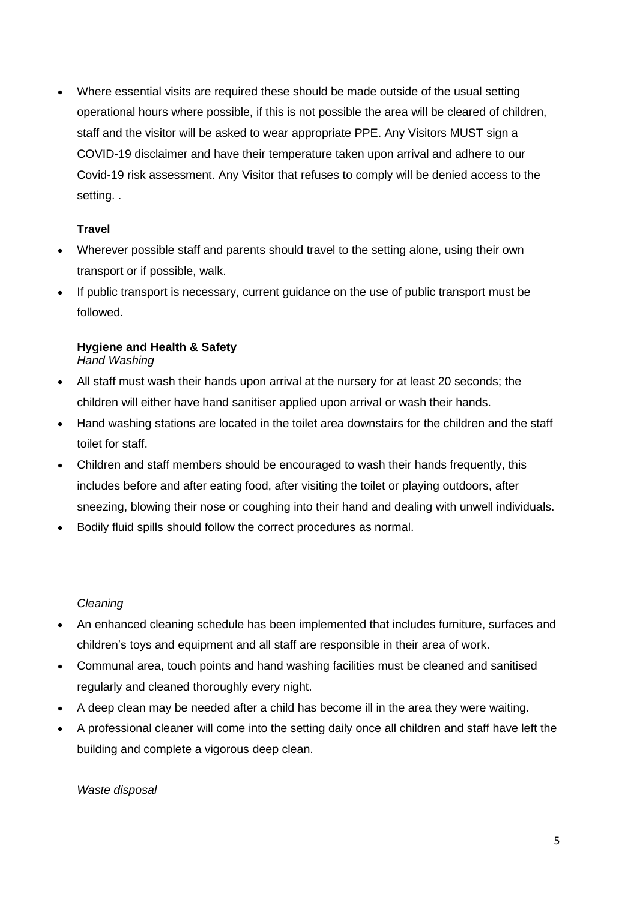• Where essential visits are required these should be made outside of the usual setting operational hours where possible, if this is not possible the area will be cleared of children, staff and the visitor will be asked to wear appropriate PPE. Any Visitors MUST sign a COVID-19 disclaimer and have their temperature taken upon arrival and adhere to our Covid-19 risk assessment. Any Visitor that refuses to comply will be denied access to the setting. .

## **Travel**

- Wherever possible staff and parents should travel to the setting alone, using their own transport or if possible, walk.
- If public transport is necessary, current guidance on the use of public transport must be followed.

#### **Hygiene and Health & Safety** *Hand Washing*

- All staff must wash their hands upon arrival at the nursery for at least 20 seconds; the children will either have hand sanitiser applied upon arrival or wash their hands.
- Hand washing stations are located in the toilet area downstairs for the children and the staff toilet for staff.
- Children and staff members should be encouraged to wash their hands frequently, this includes before and after eating food, after visiting the toilet or playing outdoors, after sneezing, blowing their nose or coughing into their hand and dealing with unwell individuals.
- Bodily fluid spills should follow the correct procedures as normal.

#### *Cleaning*

- An enhanced cleaning schedule has been implemented that includes furniture, surfaces and children's toys and equipment and all staff are responsible in their area of work.
- Communal area, touch points and hand washing facilities must be cleaned and sanitised regularly and cleaned thoroughly every night.
- A deep clean may be needed after a child has become ill in the area they were waiting.
- A professional cleaner will come into the setting daily once all children and staff have left the building and complete a vigorous deep clean.

*Waste disposal*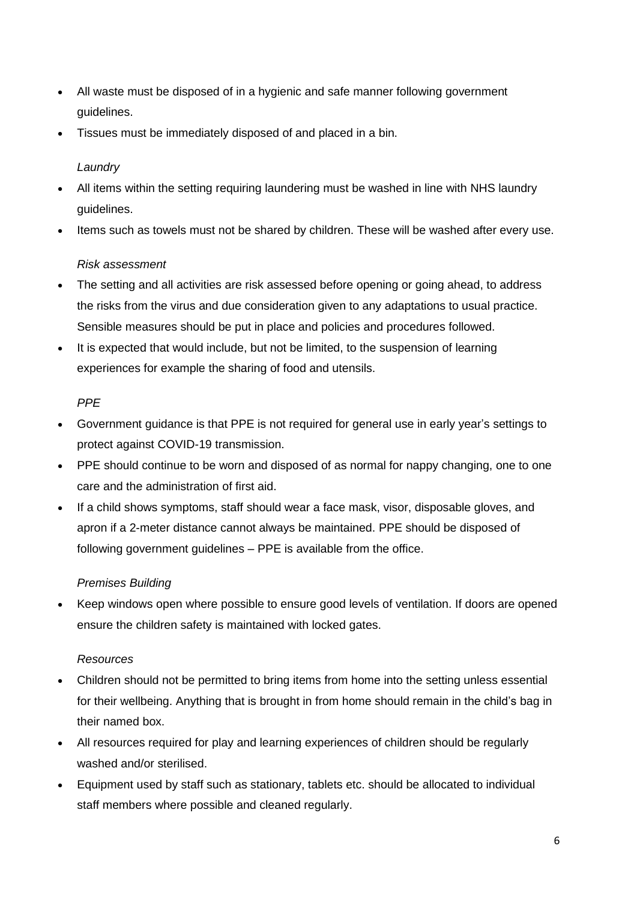- All waste must be disposed of in a hygienic and safe manner following government guidelines.
- Tissues must be immediately disposed of and placed in a bin.

## *Laundry*

- All items within the setting requiring laundering must be washed in line with NHS laundry guidelines.
- Items such as towels must not be shared by children. These will be washed after every use.

## *Risk assessment*

- The setting and all activities are risk assessed before opening or going ahead, to address the risks from the virus and due consideration given to any adaptations to usual practice. Sensible measures should be put in place and policies and procedures followed.
- It is expected that would include, but not be limited, to the suspension of learning experiences for example the sharing of food and utensils.

## *PPE*

- Government guidance is that PPE is not required for general use in early year's settings to protect against COVID-19 transmission.
- PPE should continue to be worn and disposed of as normal for nappy changing, one to one care and the administration of first aid.
- If a child shows symptoms, staff should wear a face mask, visor, disposable gloves, and apron if a 2-meter distance cannot always be maintained. PPE should be disposed of following government guidelines – PPE is available from the office.

#### *Premises Building*

• Keep windows open where possible to ensure good levels of ventilation. If doors are opened ensure the children safety is maintained with locked gates.

#### *Resources*

- Children should not be permitted to bring items from home into the setting unless essential for their wellbeing. Anything that is brought in from home should remain in the child's bag in their named box.
- All resources required for play and learning experiences of children should be regularly washed and/or sterilised.
- Equipment used by staff such as stationary, tablets etc. should be allocated to individual staff members where possible and cleaned regularly.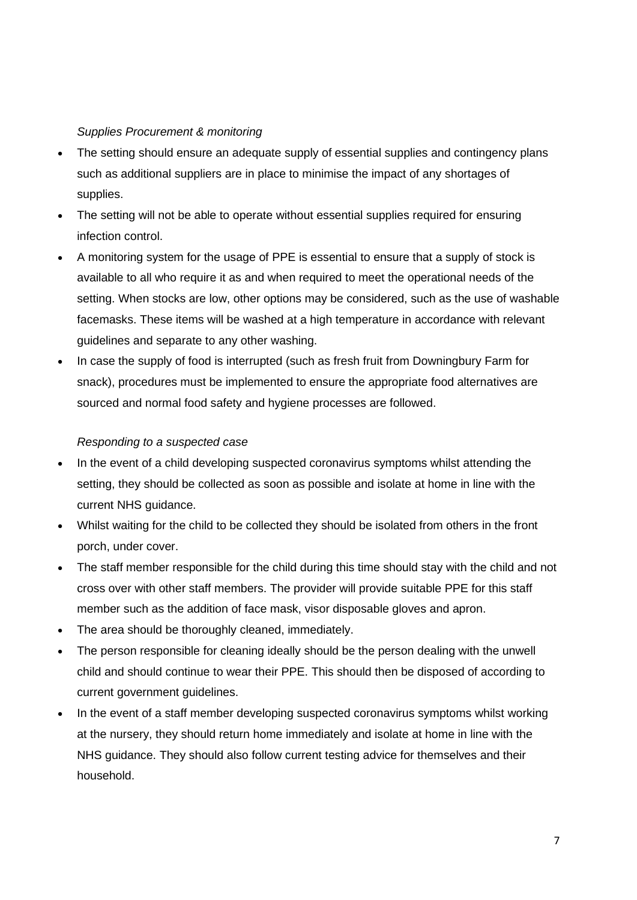#### *Supplies Procurement & monitoring*

- The setting should ensure an adequate supply of essential supplies and contingency plans such as additional suppliers are in place to minimise the impact of any shortages of supplies.
- The setting will not be able to operate without essential supplies required for ensuring infection control.
- A monitoring system for the usage of PPE is essential to ensure that a supply of stock is available to all who require it as and when required to meet the operational needs of the setting. When stocks are low, other options may be considered, such as the use of washable facemasks. These items will be washed at a high temperature in accordance with relevant guidelines and separate to any other washing.
- In case the supply of food is interrupted (such as fresh fruit from Downingbury Farm for snack), procedures must be implemented to ensure the appropriate food alternatives are sourced and normal food safety and hygiene processes are followed.

#### *Responding to a suspected case*

- In the event of a child developing suspected coronavirus symptoms whilst attending the setting, they should be collected as soon as possible and isolate at home in line with the current NHS guidance.
- Whilst waiting for the child to be collected they should be isolated from others in the front porch, under cover.
- The staff member responsible for the child during this time should stay with the child and not cross over with other staff members. The provider will provide suitable PPE for this staff member such as the addition of face mask, visor disposable gloves and apron.
- The area should be thoroughly cleaned, immediately.
- The person responsible for cleaning ideally should be the person dealing with the unwell child and should continue to wear their PPE. This should then be disposed of according to current government guidelines.
- In the event of a staff member developing suspected coronavirus symptoms whilst working at the nursery, they should return home immediately and isolate at home in line with the NHS guidance. They should also follow current testing advice for themselves and their household.